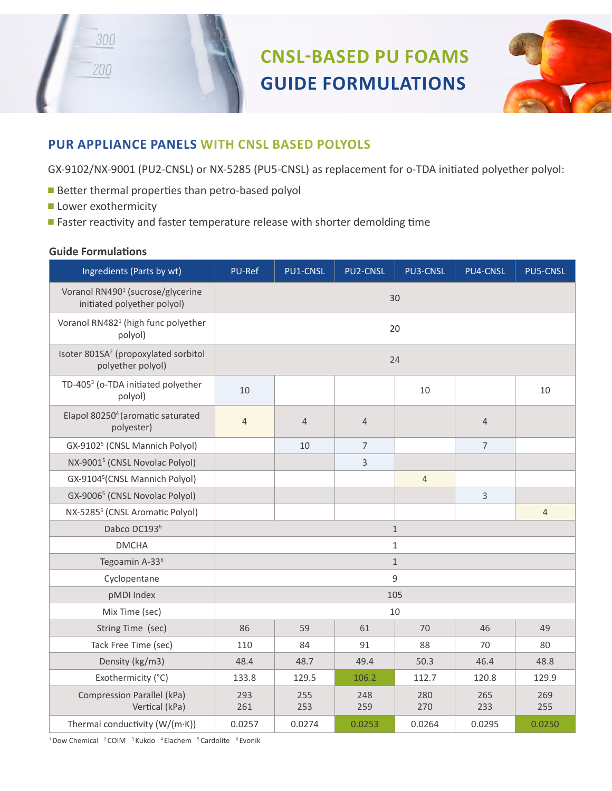



## **PUR APPLIANCE PANELS WITH CNSL BASED POLYOLS**

GX-9102/NX-9001 (PU2-CNSL) or NX-5285 (PU5-CNSL) as replacement for o-TDA initiated polyether polyol:

- Better thermal properties than petro-based polyol
- **Lower exothermicity**

300

200

■ Faster reactivity and faster temperature release with shorter demolding time

## **Guide Formulations**

| Ingredients (Parts by wt)                                                    | PU-Ref         | PU1-CNSL       | <b>PU2-CNSL</b> | PU3-CNSL       | PU4-CNSL       | PU5-CNSL       |
|------------------------------------------------------------------------------|----------------|----------------|-----------------|----------------|----------------|----------------|
| Voranol RN490 <sup>1</sup> (sucrose/glycerine<br>initiated polyether polyol) | 30             |                |                 |                |                |                |
| Voranol RN482 <sup>1</sup> (high func polyether<br>polyol)                   | 20             |                |                 |                |                |                |
| Isoter 801SA <sup>2</sup> (propoxylated sorbitol<br>polyether polyol)        | 24             |                |                 |                |                |                |
| TD-405 <sup>3</sup> (o-TDA initiated polyether<br>polyol)                    | 10             |                |                 | 10             |                | 10             |
| Elapol 80250 <sup>4</sup> (aromatic saturated<br>polyester)                  | $\overline{4}$ | $\overline{4}$ | $\overline{4}$  |                | $\overline{4}$ |                |
| GX-9102 <sup>5</sup> (CNSL Mannich Polyol)                                   |                | 10             | $\overline{7}$  |                | $\overline{7}$ |                |
| NX-9001 <sup>5</sup> (CNSL Novolac Polyol)                                   |                |                | 3               |                |                |                |
| GX-9104 <sup>5</sup> (CNSL Mannich Polyol)                                   |                |                |                 | $\overline{4}$ |                |                |
| GX-9006 <sup>5</sup> (CNSL Novolac Polyol)                                   |                |                |                 |                | 3              |                |
| NX-5285 <sup>5</sup> (CNSL Aromatic Polyol)                                  |                |                |                 |                |                | $\overline{4}$ |
| Dabco DC1936                                                                 | $\mathbf{1}$   |                |                 |                |                |                |
| <b>DMCHA</b>                                                                 | $\mathbf{1}$   |                |                 |                |                |                |
| Tegoamin A-33 <sup>6</sup>                                                   | $\mathbf{1}$   |                |                 |                |                |                |
| Cyclopentane                                                                 | 9              |                |                 |                |                |                |
| pMDI Index                                                                   | 105            |                |                 |                |                |                |
| Mix Time (sec)                                                               | 10             |                |                 |                |                |                |
| String Time (sec)                                                            | 86             | 59             | 61              | 70             | 46             | 49             |
| Tack Free Time (sec)                                                         | 110            | 84             | 91              | 88             | 70             | 80             |
| Density (kg/m3)                                                              | 48.4           | 48.7           | 49.4            | 50.3           | 46.4           | 48.8           |
| Exothermicity (°C)                                                           | 133.8          | 129.5          | 106.2           | 112.7          | 120.8          | 129.9          |
| <b>Compression Parallel (kPa)</b><br>Vertical (kPa)                          | 293<br>261     | 255<br>253     | 248<br>259      | 280<br>270     | 265<br>233     | 269<br>255     |
| Thermal conductivity (W/(m·K))                                               | 0.0257         | 0.0274         | 0.0253          | 0.0264         | 0.0295         | 0.0250         |

<sup>1</sup>Dow Chemical <sup>2</sup> COIM <sup>3</sup> Kukdo <sup>4</sup> Elachem <sup>5</sup> Cardolite <sup>6</sup> Evonik